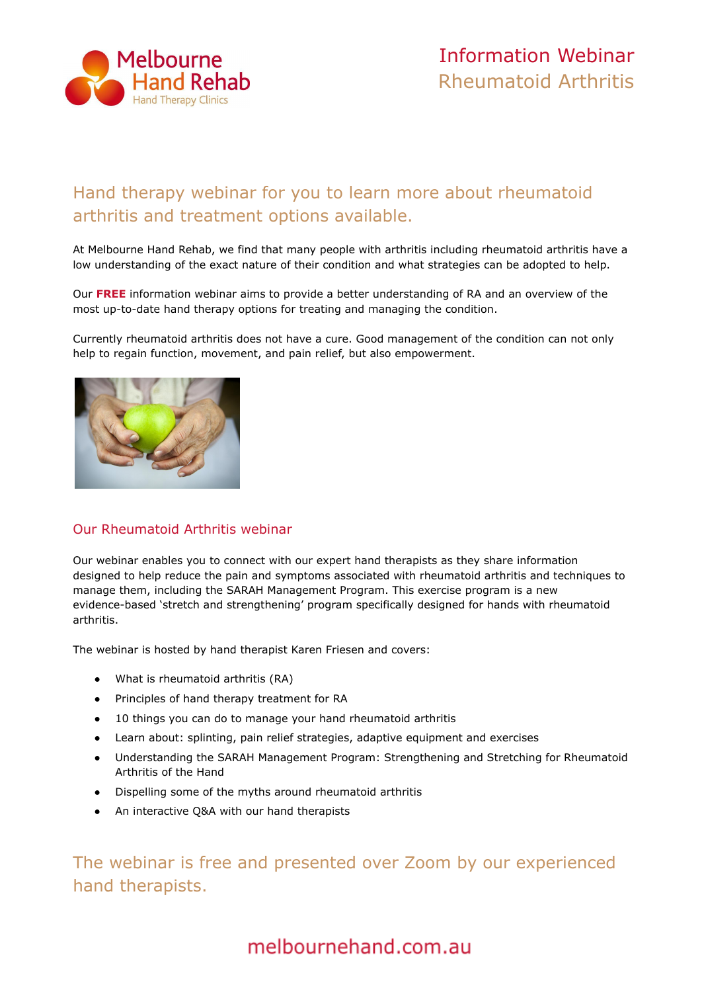

# Hand therapy webinar for you to learn more about rheumatoid arthritis and treatment options available.

At Melbourne Hand Rehab, we find that many people with arthritis including rheumatoid arthritis have a low understanding of the exact nature of their condition and what strategies can be adopted to help.

Our **[FREE](https://melbournehand.com.au/about-us/hand-therapy-webinars/)** information webinar aims to provide a better understanding of RA and an overview of the most up-to-date hand therapy options for treating and managing the condition.

Currently rheumatoid arthritis does not have a cure. Good management of the condition can not only help to regain function, movement, and pain relief, but also empowerment.



## Our Rheumatoid Arthritis webinar

Our webinar enables you to connect with our expert hand therapists as they share information designed to help reduce the pain and symptoms associated with rheumatoid arthritis and techniques to manage them, including the SARAH Management Program. This exercise program is a new evidence-based 'stretch and strengthening' program specifically designed for hands with rheumatoid arthritis.

The webinar is hosted by hand therapist Karen Friesen and covers:

- What is rheumatoid arthritis (RA)
- Principles of hand therapy treatment for RA
- 10 things you can do to manage your hand rheumatoid arthritis
- Learn about: splinting, pain relief strategies, adaptive equipment and exercises
- Understanding the SARAH Management Program: Strengthening and Stretching for Rheumatoid Arthritis of the Hand
- Dispelling some of the myths around rheumatoid arthritis
- An interactive Q&A with our hand therapists

The webinar is free and presented over Zoom by our experienced hand therapists.

# melbournehand.com.au